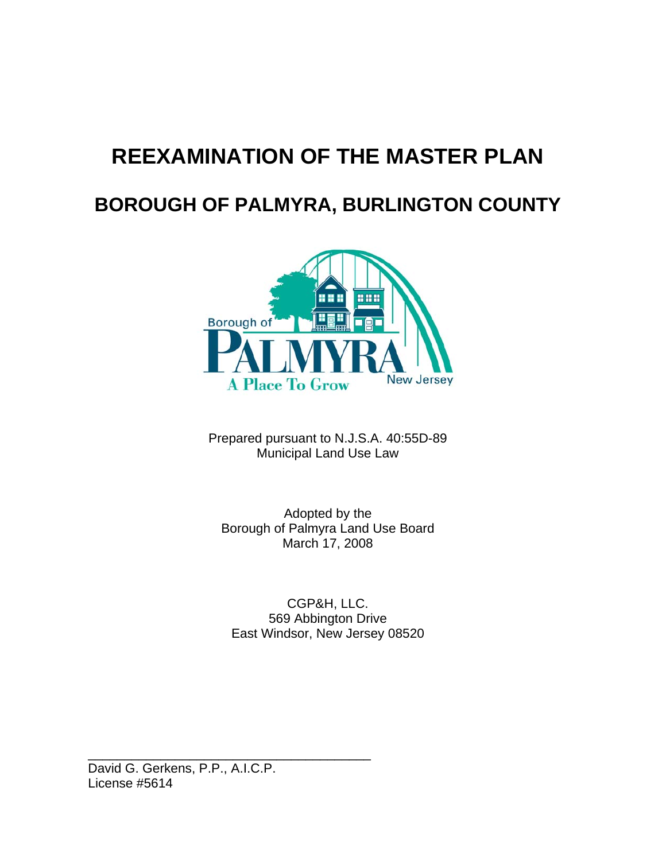# **REEXAMINATION OF THE MASTER PLAN**

## **BOROUGH OF PALMYRA, BURLINGTON COUNTY**



Prepared pursuant to N.J.S.A. 40:55D-89 Municipal Land Use Law

Adopted by the Borough of Palmyra Land Use Board March 17, 2008

CGP&H, LLC. 569 Abbington Drive East Windsor, New Jersey 08520

David G. Gerkens, P.P., A.I.C.P. License #5614

\_\_\_\_\_\_\_\_\_\_\_\_\_\_\_\_\_\_\_\_\_\_\_\_\_\_\_\_\_\_\_\_\_\_\_\_\_\_\_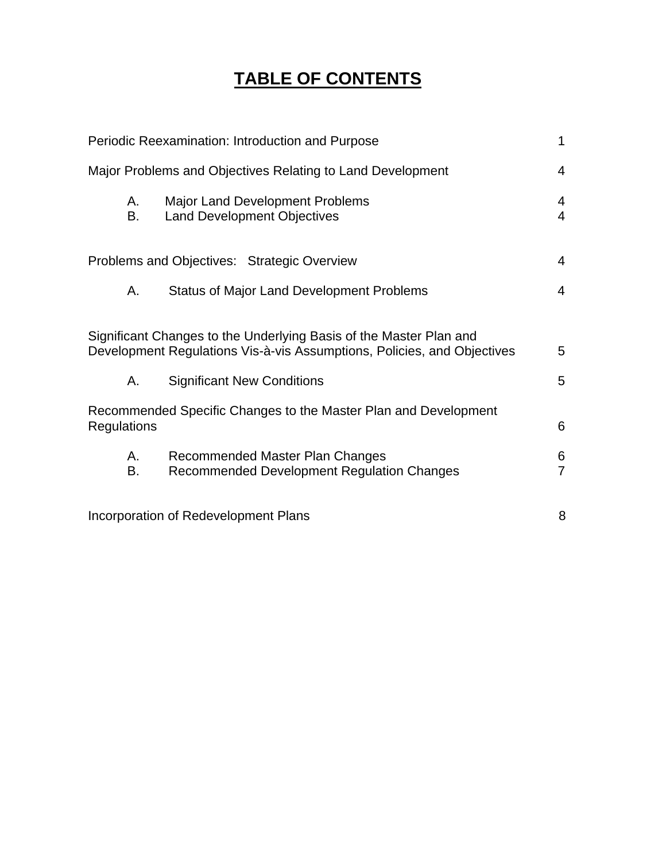## **TABLE OF CONTENTS**

|                                                                                                                                               | Periodic Reexamination: Introduction and Purpose                              | 1                   |
|-----------------------------------------------------------------------------------------------------------------------------------------------|-------------------------------------------------------------------------------|---------------------|
| Major Problems and Objectives Relating to Land Development                                                                                    |                                                                               | 4                   |
| А.<br>В.                                                                                                                                      | <b>Major Land Development Problems</b><br><b>Land Development Objectives</b>  | 4<br>$\overline{4}$ |
| Problems and Objectives: Strategic Overview                                                                                                   |                                                                               | 4                   |
| Α.                                                                                                                                            | <b>Status of Major Land Development Problems</b>                              | 4                   |
| Significant Changes to the Underlying Basis of the Master Plan and<br>Development Regulations Vis-à-vis Assumptions, Policies, and Objectives |                                                                               | 5                   |
| А.                                                                                                                                            | <b>Significant New Conditions</b>                                             | 5                   |
| Recommended Specific Changes to the Master Plan and Development<br><b>Regulations</b>                                                         |                                                                               | 6                   |
| А.<br>В.                                                                                                                                      | Recommended Master Plan Changes<br>Recommended Development Regulation Changes | 6<br>$\overline{7}$ |
| Incorporation of Redevelopment Plans                                                                                                          |                                                                               | 8                   |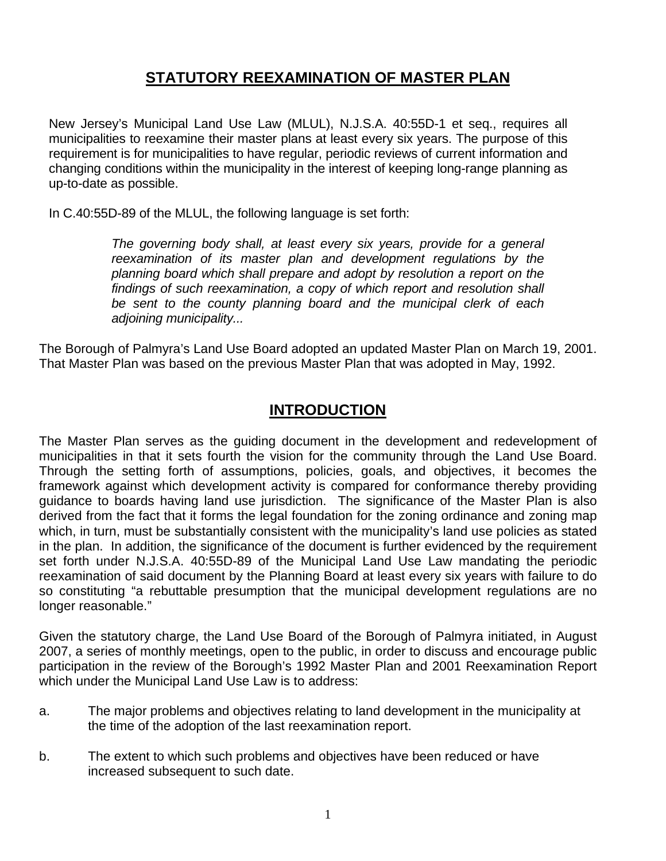## **STATUTORY REEXAMINATION OF MASTER PLAN**

New Jersey's Municipal Land Use Law (MLUL), N.J.S.A. 40:55D-1 et seq., requires all municipalities to reexamine their master plans at least every six years. The purpose of this requirement is for municipalities to have regular, periodic reviews of current information and changing conditions within the municipality in the interest of keeping long-range planning as up-to-date as possible.

In C.40:55D-89 of the MLUL, the following language is set forth:

 *The governing body shall, at least every six years, provide for a general reexamination of its master plan and development regulations by the planning board which shall prepare and adopt by resolution a report on the findings of such reexamination, a copy of which report and resolution shall be sent to the county planning board and the municipal clerk of each adjoining municipality...* 

The Borough of Palmyra's Land Use Board adopted an updated Master Plan on March 19, 2001. That Master Plan was based on the previous Master Plan that was adopted in May, 1992.

### **INTRODUCTION**

The Master Plan serves as the guiding document in the development and redevelopment of municipalities in that it sets fourth the vision for the community through the Land Use Board. Through the setting forth of assumptions, policies, goals, and objectives, it becomes the framework against which development activity is compared for conformance thereby providing guidance to boards having land use jurisdiction. The significance of the Master Plan is also derived from the fact that it forms the legal foundation for the zoning ordinance and zoning map which, in turn, must be substantially consistent with the municipality's land use policies as stated in the plan. In addition, the significance of the document is further evidenced by the requirement set forth under N.J.S.A. 40:55D-89 of the Municipal Land Use Law mandating the periodic reexamination of said document by the Planning Board at least every six years with failure to do so constituting "a rebuttable presumption that the municipal development regulations are no longer reasonable."

Given the statutory charge, the Land Use Board of the Borough of Palmyra initiated, in August 2007, a series of monthly meetings, open to the public, in order to discuss and encourage public participation in the review of the Borough's 1992 Master Plan and 2001 Reexamination Report which under the Municipal Land Use Law is to address:

- a. The major problems and objectives relating to land development in the municipality at the time of the adoption of the last reexamination report.
- b. The extent to which such problems and objectives have been reduced or have increased subsequent to such date.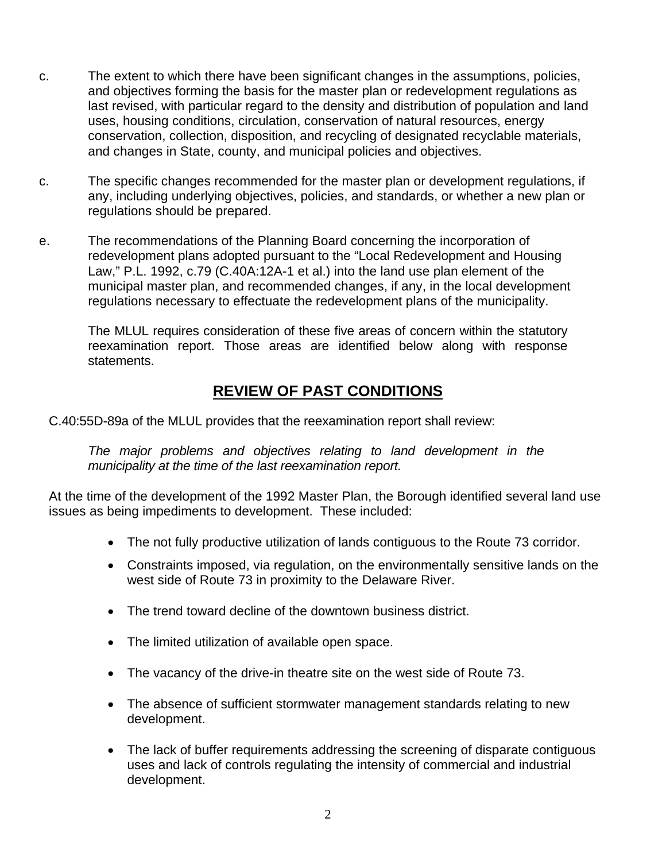- c. The extent to which there have been significant changes in the assumptions, policies, and objectives forming the basis for the master plan or redevelopment regulations as last revised, with particular regard to the density and distribution of population and land uses, housing conditions, circulation, conservation of natural resources, energy conservation, collection, disposition, and recycling of designated recyclable materials, and changes in State, county, and municipal policies and objectives.
- c. The specific changes recommended for the master plan or development regulations, if any, including underlying objectives, policies, and standards, or whether a new plan or regulations should be prepared.
- e. The recommendations of the Planning Board concerning the incorporation of redevelopment plans adopted pursuant to the "Local Redevelopment and Housing Law," P.L. 1992, c.79 (C.40A:12A-1 et al.) into the land use plan element of the municipal master plan, and recommended changes, if any, in the local development regulations necessary to effectuate the redevelopment plans of the municipality.

The MLUL requires consideration of these five areas of concern within the statutory reexamination report. Those areas are identified below along with response statements.

## **REVIEW OF PAST CONDITIONS**

C.40:55D-89a of the MLUL provides that the reexamination report shall review:

 *The major problems and objectives relating to land development in the municipality at the time of the last reexamination report.* 

At the time of the development of the 1992 Master Plan, the Borough identified several land use issues as being impediments to development. These included:

- The not fully productive utilization of lands contiguous to the Route 73 corridor.
- Constraints imposed, via regulation, on the environmentally sensitive lands on the west side of Route 73 in proximity to the Delaware River.
- The trend toward decline of the downtown business district.
- The limited utilization of available open space.
- The vacancy of the drive-in theatre site on the west side of Route 73.
- The absence of sufficient stormwater management standards relating to new development.
- The lack of buffer requirements addressing the screening of disparate contiguous uses and lack of controls regulating the intensity of commercial and industrial development.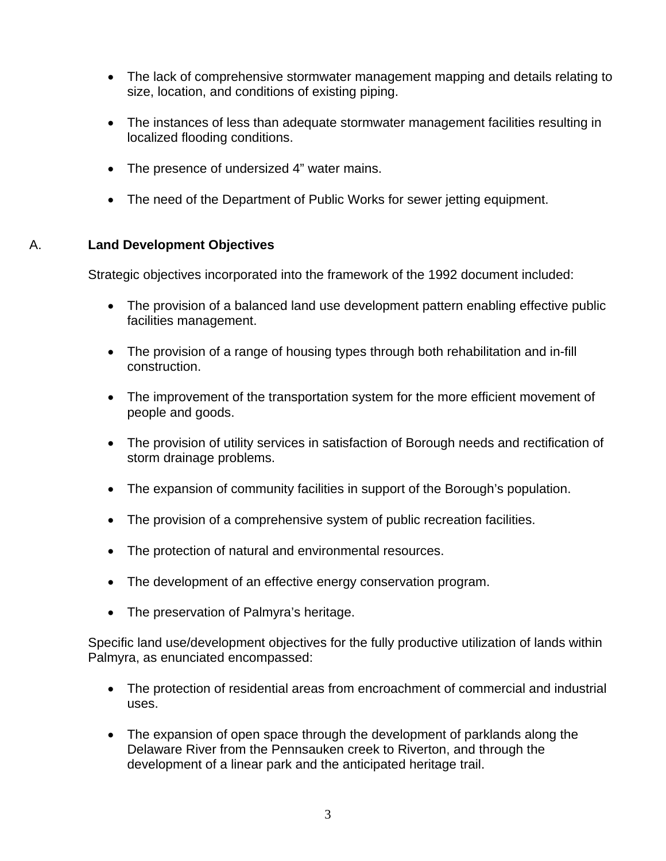- The lack of comprehensive stormwater management mapping and details relating to size, location, and conditions of existing piping.
- The instances of less than adequate stormwater management facilities resulting in localized flooding conditions.
- The presence of undersized 4" water mains.
- The need of the Department of Public Works for sewer jetting equipment.

#### A. **Land Development Objectives**

Strategic objectives incorporated into the framework of the 1992 document included:

- The provision of a balanced land use development pattern enabling effective public facilities management.
- The provision of a range of housing types through both rehabilitation and in-fill construction.
- The improvement of the transportation system for the more efficient movement of people and goods.
- The provision of utility services in satisfaction of Borough needs and rectification of storm drainage problems.
- The expansion of community facilities in support of the Borough's population.
- The provision of a comprehensive system of public recreation facilities.
- The protection of natural and environmental resources.
- The development of an effective energy conservation program.
- The preservation of Palmyra's heritage.

Specific land use/development objectives for the fully productive utilization of lands within Palmyra, as enunciated encompassed:

- The protection of residential areas from encroachment of commercial and industrial uses.
- The expansion of open space through the development of parklands along the Delaware River from the Pennsauken creek to Riverton, and through the development of a linear park and the anticipated heritage trail.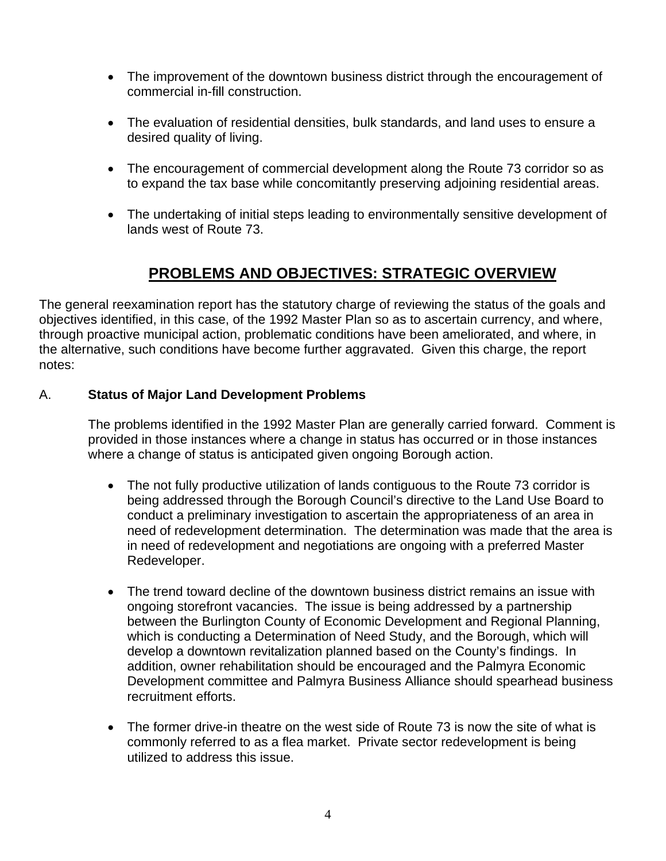- The improvement of the downtown business district through the encouragement of commercial in-fill construction.
- The evaluation of residential densities, bulk standards, and land uses to ensure a desired quality of living.
- The encouragement of commercial development along the Route 73 corridor so as to expand the tax base while concomitantly preserving adjoining residential areas.
- The undertaking of initial steps leading to environmentally sensitive development of lands west of Route 73.

## **PROBLEMS AND OBJECTIVES: STRATEGIC OVERVIEW**

The general reexamination report has the statutory charge of reviewing the status of the goals and objectives identified, in this case, of the 1992 Master Plan so as to ascertain currency, and where, through proactive municipal action, problematic conditions have been ameliorated, and where, in the alternative, such conditions have become further aggravated. Given this charge, the report notes:

#### A. **Status of Major Land Development Problems**

The problems identified in the 1992 Master Plan are generally carried forward. Comment is provided in those instances where a change in status has occurred or in those instances where a change of status is anticipated given ongoing Borough action.

- The not fully productive utilization of lands contiguous to the Route 73 corridor is being addressed through the Borough Council's directive to the Land Use Board to conduct a preliminary investigation to ascertain the appropriateness of an area in need of redevelopment determination. The determination was made that the area is in need of redevelopment and negotiations are ongoing with a preferred Master Redeveloper.
- The trend toward decline of the downtown business district remains an issue with ongoing storefront vacancies. The issue is being addressed by a partnership between the Burlington County of Economic Development and Regional Planning, which is conducting a Determination of Need Study, and the Borough, which will develop a downtown revitalization planned based on the County's findings. In addition, owner rehabilitation should be encouraged and the Palmyra Economic Development committee and Palmyra Business Alliance should spearhead business recruitment efforts.
- The former drive-in theatre on the west side of Route 73 is now the site of what is commonly referred to as a flea market. Private sector redevelopment is being utilized to address this issue.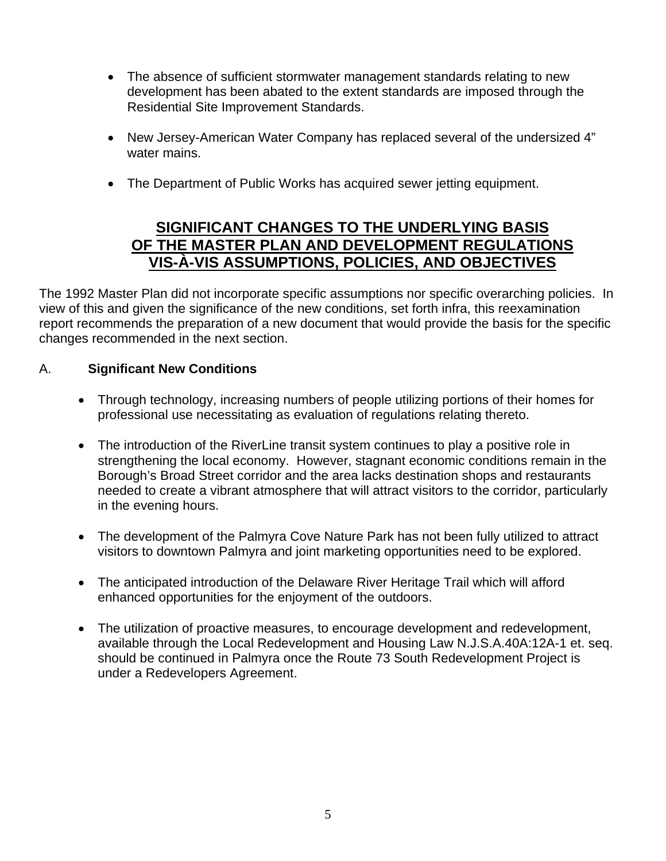- The absence of sufficient stormwater management standards relating to new development has been abated to the extent standards are imposed through the Residential Site Improvement Standards.
- New Jersey-American Water Company has replaced several of the undersized 4" water mains.
- The Department of Public Works has acquired sewer jetting equipment.

## **SIGNIFICANT CHANGES TO THE UNDERLYING BASIS OF THE MASTER PLAN AND DEVELOPMENT REGULATIONS VIS-À-VIS ASSUMPTIONS, POLICIES, AND OBJECTIVES**

The 1992 Master Plan did not incorporate specific assumptions nor specific overarching policies. In view of this and given the significance of the new conditions, set forth infra, this reexamination report recommends the preparation of a new document that would provide the basis for the specific changes recommended in the next section.

#### A. **Significant New Conditions**

- Through technology, increasing numbers of people utilizing portions of their homes for professional use necessitating as evaluation of regulations relating thereto.
- The introduction of the RiverLine transit system continues to play a positive role in strengthening the local economy. However, stagnant economic conditions remain in the Borough's Broad Street corridor and the area lacks destination shops and restaurants needed to create a vibrant atmosphere that will attract visitors to the corridor, particularly in the evening hours.
- The development of the Palmyra Cove Nature Park has not been fully utilized to attract visitors to downtown Palmyra and joint marketing opportunities need to be explored.
- The anticipated introduction of the Delaware River Heritage Trail which will afford enhanced opportunities for the enjoyment of the outdoors.
- The utilization of proactive measures, to encourage development and redevelopment, available through the Local Redevelopment and Housing Law N.J.S.A.40A:12A-1 et. seq. should be continued in Palmyra once the Route 73 South Redevelopment Project is under a Redevelopers Agreement.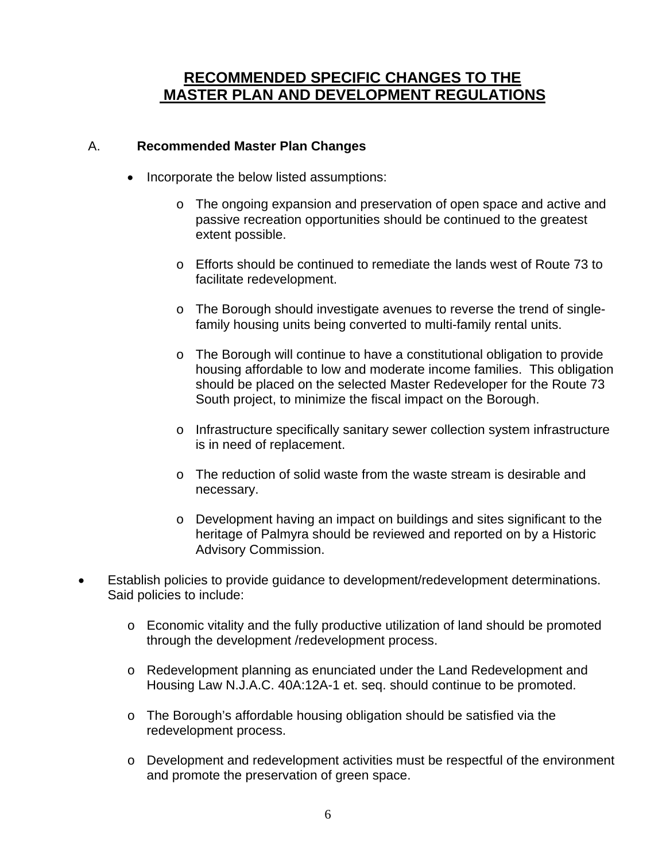## **RECOMMENDED SPECIFIC CHANGES TO THE MASTER PLAN AND DEVELOPMENT REGULATIONS**

#### A. **Recommended Master Plan Changes**

- Incorporate the below listed assumptions:
	- o The ongoing expansion and preservation of open space and active and passive recreation opportunities should be continued to the greatest extent possible.
	- o Efforts should be continued to remediate the lands west of Route 73 to facilitate redevelopment.
	- o The Borough should investigate avenues to reverse the trend of singlefamily housing units being converted to multi-family rental units.
	- o The Borough will continue to have a constitutional obligation to provide housing affordable to low and moderate income families. This obligation should be placed on the selected Master Redeveloper for the Route 73 South project, to minimize the fiscal impact on the Borough.
	- o Infrastructure specifically sanitary sewer collection system infrastructure is in need of replacement.
	- o The reduction of solid waste from the waste stream is desirable and necessary.
	- o Development having an impact on buildings and sites significant to the heritage of Palmyra should be reviewed and reported on by a Historic Advisory Commission.
- Establish policies to provide guidance to development/redevelopment determinations. Said policies to include:
	- o Economic vitality and the fully productive utilization of land should be promoted through the development /redevelopment process.
	- o Redevelopment planning as enunciated under the Land Redevelopment and Housing Law N.J.A.C. 40A:12A-1 et. seq. should continue to be promoted.
	- o The Borough's affordable housing obligation should be satisfied via the redevelopment process.
	- o Development and redevelopment activities must be respectful of the environment and promote the preservation of green space.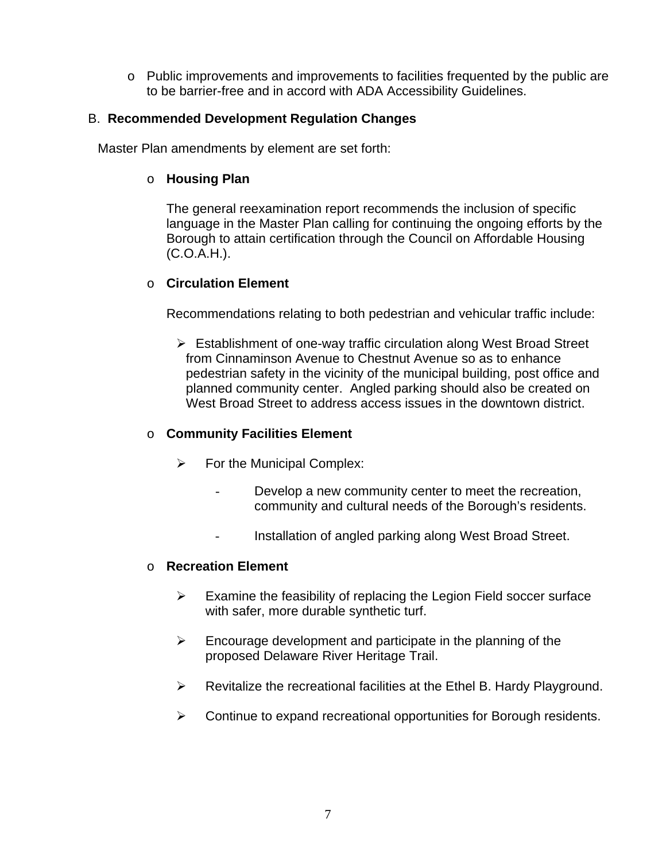o Public improvements and improvements to facilities frequented by the public are to be barrier-free and in accord with ADA Accessibility Guidelines.

#### B. **Recommended Development Regulation Changes**

Master Plan amendments by element are set forth:

#### o **Housing Plan**

The general reexamination report recommends the inclusion of specific language in the Master Plan calling for continuing the ongoing efforts by the Borough to attain certification through the Council on Affordable Housing (C.O.A.H.).

#### o **Circulation Element**

Recommendations relating to both pedestrian and vehicular traffic include:

 $\triangleright$  Establishment of one-way traffic circulation along West Broad Street from Cinnaminson Avenue to Chestnut Avenue so as to enhance pedestrian safety in the vicinity of the municipal building, post office and planned community center. Angled parking should also be created on West Broad Street to address access issues in the downtown district.

#### o **Community Facilities Element**

- $\triangleright$  For the Municipal Complex:
	- Develop a new community center to meet the recreation, community and cultural needs of the Borough's residents.
	- Installation of angled parking along West Broad Street.

#### o **Recreation Element**

- $\triangleright$  Examine the feasibility of replacing the Legion Field soccer surface with safer, more durable synthetic turf.
- $\triangleright$  Encourage development and participate in the planning of the proposed Delaware River Heritage Trail.
- $\triangleright$  Revitalize the recreational facilities at the Ethel B. Hardy Playground.
- $\triangleright$  Continue to expand recreational opportunities for Borough residents.